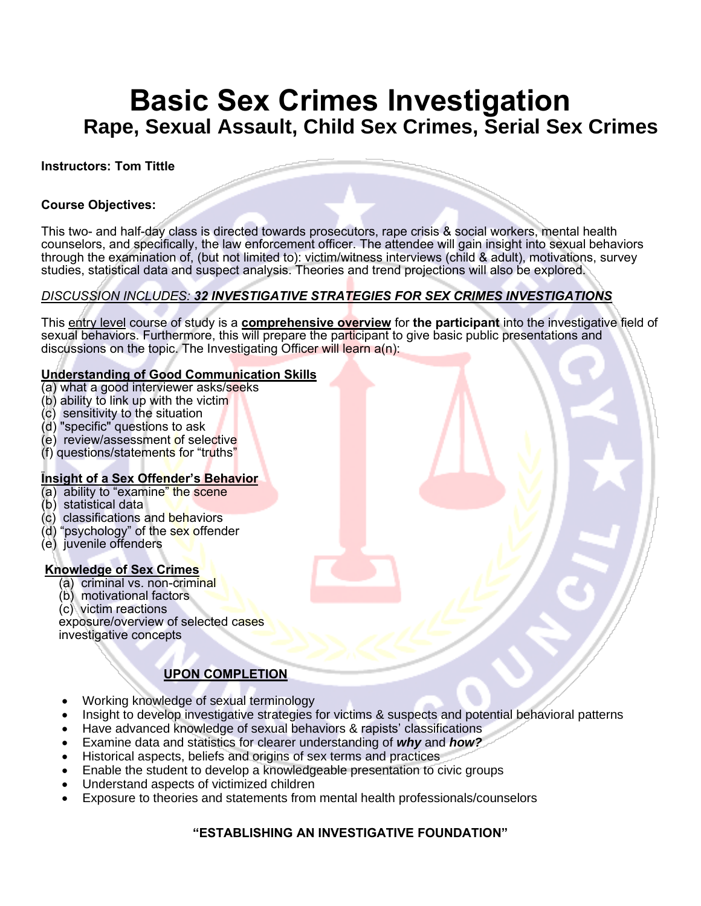# **Basic Sex Crimes Investigation Rape, Sexual Assault, Child Sex Crimes, Serial Sex Crimes**

#### **Instructors: Tom Tittle**

#### **Course Objectives:**

This two- and half-day class is directed towards prosecutors, rape crisis & social workers, mental health counselors, and specifically, the law enforcement officer. The attendee will gain insight into sexual behaviors through the examination of, (but not limited to): victim/witness interviews (child & adult), motivations, survey studies, statistical data and suspect analysis. Theories and trend projections will also be explored.

#### *DISCUSSION INCLUDES: 32 INVESTIGATIVE STRATEGIES FOR SEX CRIMES INVESTIGATIONS*

This entry level course of study is a **comprehensive overview** for **the participant** into the investigative field of sexual behaviors. Furthermore, this will prepare the participant to give basic public presentations and discussions on the topic. The Investigating Officer will learn a(n):

#### **Understanding of Good Communication Skills**

- (a) what a good interviewer asks/seeks
- (b) ability to link up with the victim
- (c) sensitivity to the situation
- (d) "specific" questions to ask
- (e) review/assessment of selective
- (f) questions/statements for "truths"

#### **Insight of a Sex Offender's Behavior**

- (a) ability to "examine" the scene
- (b) statistical data
- (c) classifications and behaviors
- (d) "psychology" of the sex offender
- (e) juvenile offenders

#### **Knowledge of Sex Crimes**

- (a) criminal vs. non-criminal
- (b) motivational factors
- (c) victim reactions

 exposure/overview of selected cases investigative concepts

### **UPON COMPLETION**

- Working knowledge of sexual terminology
- Insight to develop investigative strategies for victims & suspects and potential behavioral patterns
- Have advanced knowledge of sexual behaviors & rapists' classifications
- Examine data and statistics for clearer understanding of *why* and *how?*
- Historical aspects, beliefs and origins of sex terms and practices
- Enable the student to develop a knowledgeable presentation to civic groups
- Understand aspects of victimized children
- Exposure to theories and statements from mental health professionals/counselors

### **"ESTABLISHING AN INVESTIGATIVE FOUNDATION"**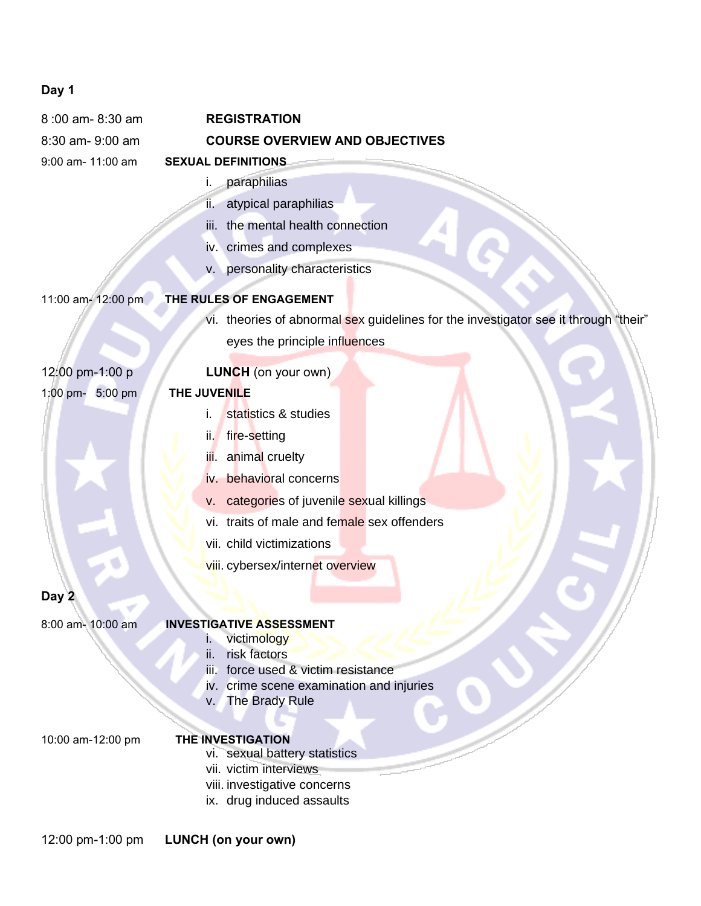# **Day 1**

| 8:00 am-8:30 am       | <b>REGISTRATION</b>                                                                 |
|-----------------------|-------------------------------------------------------------------------------------|
| 8:30 am- 9:00 am      | <b>COURSE OVERVIEW AND OBJECTIVES</b>                                               |
| 9:00 am- 11:00 am     | <b>SEXUAL DEFINITIONS</b>                                                           |
|                       | paraphilias<br>i.                                                                   |
|                       | atypical paraphilias<br>ii.                                                         |
|                       | the mental health connection<br>iii.                                                |
|                       | iv. crimes and complexes                                                            |
|                       | v. personality characteristics                                                      |
| 11:00 am- 12:00 pm    | THE RULES OF ENGAGEMENT                                                             |
|                       | vi. theories of abnormal sex guidelines for the investigator see it through "their" |
|                       | eyes the principle influences                                                       |
| 12:00 pm-1:00 p       | <b>LUNCH</b> (on your own)                                                          |
| 1:00 pm- 5:00 pm      | THE JUVENILE                                                                        |
|                       | statistics & studies<br>i.                                                          |
|                       | fire-setting<br>ii.                                                                 |
|                       | animal cruelty<br>ijÏ.                                                              |
|                       | iv. behavioral concerns                                                             |
|                       | categories of juvenile sexual killings<br>V.                                        |
|                       | vi. traits of male and female sex offenders                                         |
|                       | vii. child victimizations                                                           |
|                       | viii. cybersex/internet overview                                                    |
| Day 2                 |                                                                                     |
|                       |                                                                                     |
| $8:00$ am- $10:00$ am | <u>INVESTIGATIVE ASSESSMENT</u><br>victimology<br>ı.                                |
|                       | risk factors<br>ii.                                                                 |
|                       | iii. force used & victim resistance                                                 |
|                       | iv. crime scene examination and injuries                                            |
|                       | The Brady Rule<br>V.                                                                |
| 10:00 am-12:00 pm     | <b>THE INVESTIGATION</b>                                                            |
|                       | vi. sexual battery statistics                                                       |
|                       | vii. victim interviews                                                              |
|                       | viii. investigative concerns<br>ix. drug induced assaults                           |
|                       |                                                                                     |